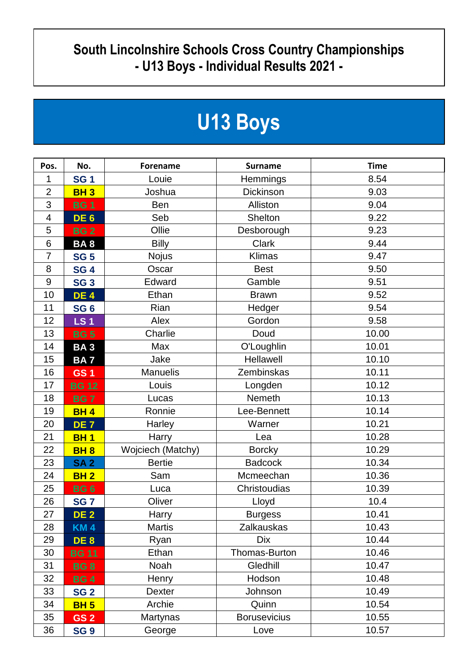## **South Lincolnshire Schools Cross Country Championships - U13 Boys - Individual Results 2021 -**

## **U13 Boys**

| Pos.                     | No.             | <b>Forename</b>   | <b>Surname</b>      | <b>Time</b> |
|--------------------------|-----------------|-------------------|---------------------|-------------|
| 1                        | <b>SG1</b>      | Louie             | <b>Hemmings</b>     | 8.54        |
| $\overline{2}$           | <b>BH3</b>      | Joshua            | Dickinson           | 9.03        |
| 3                        | <b>BG1</b>      | Ben               | Alliston            | 9.04        |
| $\overline{\mathcal{A}}$ | DE <sub>6</sub> | Seb               | <b>Shelton</b>      | 9.22        |
| 5                        | <b>BG2</b>      | Ollie             | Desborough          | 9.23        |
| $6\,$                    | <b>BA8</b>      | <b>Billy</b>      | <b>Clark</b>        | 9.44        |
| $\overline{7}$           | <b>SG 5</b>     | <b>Nojus</b>      | Klimas              | 9.47        |
| 8                        | <b>SG 4</b>     | Oscar             | <b>Best</b>         | 9.50        |
| 9                        | <b>SG 3</b>     | Edward            | Gamble              | 9.51        |
| 10                       | <b>DE4</b>      | Ethan             | <b>Brawn</b>        | 9.52        |
| 11                       | <b>SG 6</b>     | Rian              | Hedger              | 9.54        |
| 12                       | <b>LS1</b>      | Alex              | Gordon              | 9.58        |
| 13                       | <b>BG5</b>      | Charlie           | Doud                | 10.00       |
| 14                       | <b>BA3</b>      | Max               | O'Loughlin          | 10.01       |
| 15                       | <b>BA7</b>      | Jake              | Hellawell           | 10.10       |
| 16                       | <b>GS1</b>      | <b>Manuelis</b>   | Zembinskas          | 10.11       |
| 17                       | <b>BG 12</b>    | Louis             | Longden             | 10.12       |
| 18                       | <b>BG7</b>      | Lucas             | Nemeth              | 10.13       |
| 19                       | <b>BH4</b>      | Ronnie            | Lee-Bennett         | 10.14       |
| 20                       | DE <sub>7</sub> | Harley            | Warner              | 10.21       |
| 21                       | <b>BH1</b>      | Harry             | Lea                 | 10.28       |
| 22                       | <b>BH8</b>      | Wojciech (Matchy) | <b>Borcky</b>       | 10.29       |
| 23                       | <b>SA2</b>      | <b>Bertie</b>     | <b>Badcock</b>      | 10.34       |
| 24                       | <b>BH2</b>      | Sam               | Mcmeechan           | 10.36       |
| 25                       | <b>BG6</b>      | Luca              | Christoudias        | 10.39       |
| 26                       | <b>SG7</b>      | Oliver            | Lloyd               | 10.4        |
| 27                       | <b>DE 2</b>     | Harry             | <b>Burgess</b>      | 10.41       |
| 28                       | <b>KM4</b>      | <b>Martis</b>     | Zalkauskas          | 10.43       |
| 29                       | DE 8            | Ryan              | <b>Dix</b>          | 10.44       |
| 30                       | <b>BG 11</b>    | Ethan             | Thomas-Burton       | 10.46       |
| 31                       | <b>BG8</b>      | Noah              | Gledhill            | 10.47       |
| 32                       | <b>BG4</b>      | Henry             | Hodson              | 10.48       |
| 33                       | <b>SG 2</b>     | <b>Dexter</b>     | Johnson             | 10.49       |
| 34                       | <b>BH 5</b>     | Archie            | Quinn               | 10.54       |
| 35                       | GS <sub>2</sub> | Martynas          | <b>Borusevicius</b> | 10.55       |
| 36                       | <b>SG 9</b>     | George            | Love                | 10.57       |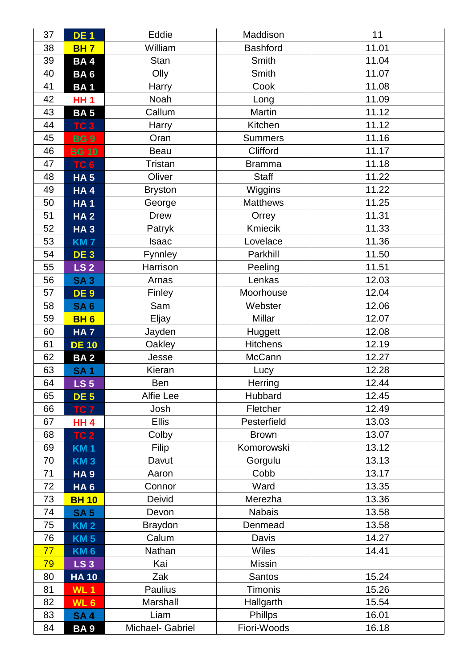| 37 | <b>DE1</b>      | Eddie            | Maddison        | 11    |
|----|-----------------|------------------|-----------------|-------|
| 38 | <b>BH7</b>      | William          | <b>Bashford</b> | 11.01 |
| 39 | <b>BA4</b>      | Stan             | Smith           | 11.04 |
| 40 | BA <sub>6</sub> | Olly             | Smith           | 11.07 |
| 41 | <b>BA1</b>      | Harry            | Cook            | 11.08 |
| 42 | <b>HH1</b>      | Noah             | Long            | 11.09 |
| 43 | <b>BA5</b>      | Callum           | Martin          | 11.12 |
| 44 | TC <sub>3</sub> | Harry            | Kitchen         | 11.12 |
| 45 | <b>BG9</b>      | Oran             | <b>Summers</b>  | 11.16 |
| 46 | <b>BG 10</b>    | Beau             | Clifford        | 11.17 |
| 47 | TC <sub>6</sub> | <b>Tristan</b>   | <b>Bramma</b>   | 11.18 |
| 48 | <b>HA 5</b>     | Oliver           | <b>Staff</b>    | 11.22 |
| 49 | HA4             | <b>Bryston</b>   | Wiggins         | 11.22 |
| 50 | <b>HA1</b>      | George           | <b>Matthews</b> | 11.25 |
| 51 | <b>HA2</b>      | <b>Drew</b>      | Orrey           | 11.31 |
| 52 | <b>HA3</b>      | Patryk           | Kmiecik         | 11.33 |
| 53 | <b>KM7</b>      | Isaac            | Lovelace        | 11.36 |
| 54 | <b>DE 3</b>     | Fynnley          | Parkhill        | 11.50 |
| 55 | <b>LS 2</b>     | Harrison         | Peeling         | 11.51 |
| 56 | <b>SA3</b>      | Arnas            | Lenkas          | 12.03 |
| 57 | <b>DE 9</b>     | Finley           | Moorhouse       | 12.04 |
| 58 | <b>SA6</b>      | Sam              | Webster         | 12.06 |
| 59 | <b>BH6</b>      | Eljay            | Millar          | 12.07 |
| 60 | <b>HA7</b>      | Jayden           | Huggett         | 12.08 |
| 61 | <b>DE 10</b>    | Oakley           | <b>Hitchens</b> | 12.19 |
| 62 | BA <sub>2</sub> | Jesse            | McCann          | 12.27 |
| 63 | <b>SA1</b>      | Kieran           | Lucy            | 12.28 |
| 64 | LS <sub>5</sub> | Ben              | Herring         | 12.44 |
| 65 | <b>DE 5</b>     | Alfie Lee        | Hubbard         | 12.45 |
| 66 | TC 7            | Josh             | Fletcher        | 12.49 |
| 67 | <b>HH 4</b>     | <b>Ellis</b>     | Pesterfield     | 13.03 |
| 68 | <b>TC 2</b>     | Colby            | <b>Brown</b>    | 13.07 |
| 69 | <b>KM1</b>      | <b>Filip</b>     | Komorowski      | 13.12 |
| 70 | <b>KM3</b>      | Davut            | Gorgulu         | 13.13 |
| 71 | <b>HA9</b>      | Aaron            | Cobb            | 13.17 |
| 72 | HA <sub>6</sub> | Connor           | Ward            | 13.35 |
| 73 | <b>BH 10</b>    | Deivid           | Merezha         | 13.36 |
| 74 | <b>SA 5</b>     | Devon            | <b>Nabais</b>   | 13.58 |
| 75 | <b>KM2</b>      | <b>Braydon</b>   | Denmead         | 13.58 |
| 76 | <b>KM5</b>      | Calum            | Davis           | 14.27 |
| 77 | <b>KM6</b>      | Nathan           | <b>Wiles</b>    | 14.41 |
| 79 | <b>LS 3</b>     | Kai              | Missin          |       |
| 80 | <b>HA 10</b>    | Zak              | Santos          | 15.24 |
| 81 | <b>WL1</b>      | Paulius          | <b>Timonis</b>  | 15.26 |
| 82 | WL <sub>6</sub> | Marshall         | Hallgarth       | 15.54 |
| 83 | <b>SA4</b>      | Liam             | Phillps         | 16.01 |
| 84 | BA 9            | Michael- Gabriel | Fiori-Woods     | 16.18 |